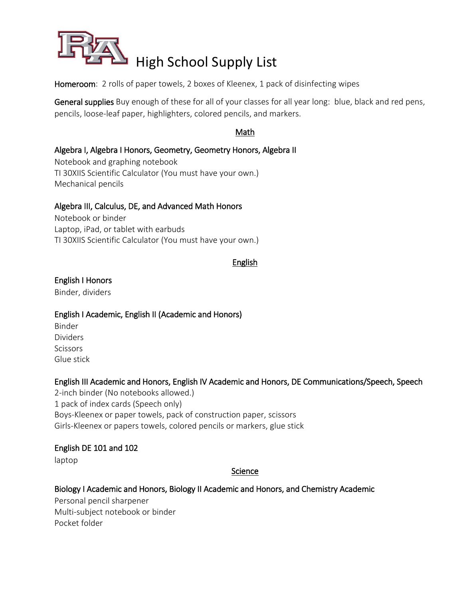

Homeroom: 2 rolls of paper towels, 2 boxes of Kleenex, 1 pack of disinfecting wipes

General supplies Buy enough of these for all of your classes for all year long: blue, black and red pens, pencils, loose-leaf paper, highlighters, colored pencils, and markers.

### Math

### Algebra I, Algebra I Honors, Geometry, Geometry Honors, Algebra II

Notebook and graphing notebook TI 30XIIS Scientific Calculator (You must have your own.) Mechanical pencils

#### Algebra III, Calculus, DE, and Advanced Math Honors

Notebook or binder Laptop, iPad, or tablet with earbuds TI 30XIIS Scientific Calculator (You must have your own.)

#### English

# English I Honors

Binder, dividers

#### English I Academic, English II (Academic and Honors)

Binder Dividers **Scissors** Glue stick

#### English III Academic and Honors, English IV Academic and Honors, DE Communications/Speech, Speech

2-inch binder (No notebooks allowed.) 1 pack of index cards (Speech only) Boys-Kleenex or paper towels, pack of construction paper, scissors Girls-Kleenex or papers towels, colored pencils or markers, glue stick

#### English DE 101 and 102

laptop

#### Science

#### Biology I Academic and Honors, Biology II Academic and Honors, and Chemistry Academic

Personal pencil sharpener Multi-subject notebook or binder Pocket folder